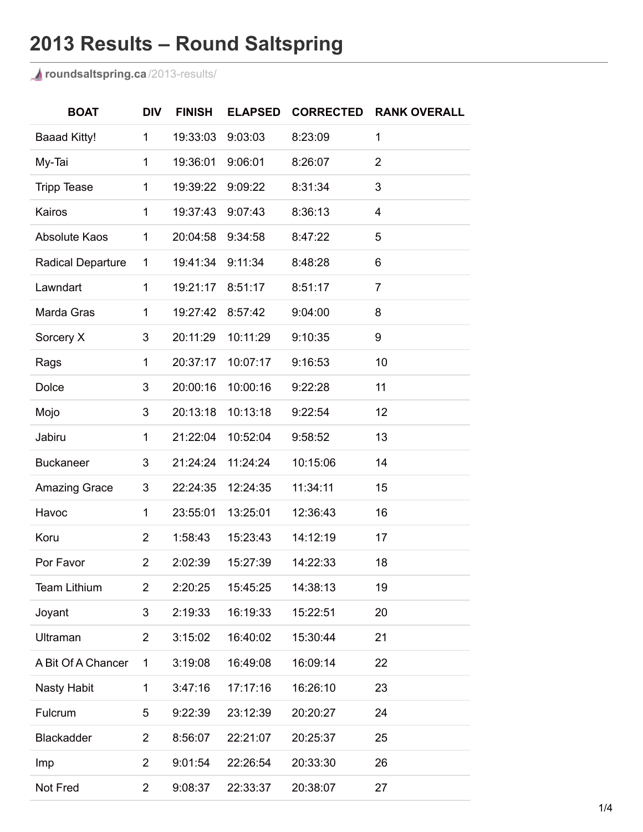## **2013 Results – Round Saltspring**

**[roundsaltspring.ca](http://roundsaltspring.ca/2013-results/)** /2013-results/

| <b>BOAT</b>              | <b>DIV</b>     | <b>FINISH</b> | <b>ELAPSED</b> | <b>CORRECTED</b> | <b>RANK OVERALL</b> |
|--------------------------|----------------|---------------|----------------|------------------|---------------------|
| <b>Baaad Kitty!</b>      | 1              | 19:33:03      | 9:03:03        | 8:23:09          | 1                   |
| My-Tai                   | 1              | 19:36:01      | 9:06:01        | 8:26:07          | $\overline{2}$      |
| <b>Tripp Tease</b>       | 1              | 19:39:22      | 9:09:22        | 8:31:34          | 3                   |
| Kairos                   | 1              | 19:37:43      | 9:07:43        | 8:36:13          | $\overline{4}$      |
| <b>Absolute Kaos</b>     | 1              | 20:04:58      | 9:34:58        | 8:47:22          | 5                   |
| <b>Radical Departure</b> | 1              | 19:41:34      | 9:11:34        | 8:48:28          | 6                   |
| Lawndart                 | 1              | 19:21:17      | 8:51:17        | 8:51:17          | $\overline{7}$      |
| Marda Gras               | $\mathbf{1}$   | 19:27:42      | 8:57:42        | 9:04:00          | 8                   |
| Sorcery X                | 3              | 20:11:29      | 10:11:29       | 9:10:35          | 9                   |
| Rags                     | $\mathbf{1}$   | 20:37:17      | 10:07:17       | 9:16:53          | 10                  |
| <b>Dolce</b>             | 3              | 20:00:16      | 10:00:16       | 9:22:28          | 11                  |
| Mojo                     | 3              | 20:13:18      | 10:13:18       | 9:22:54          | 12                  |
| Jabiru                   | $\mathbf{1}$   | 21:22:04      | 10:52:04       | 9:58:52          | 13                  |
| <b>Buckaneer</b>         | 3              | 21:24:24      | 11:24:24       | 10:15:06         | 14                  |
| <b>Amazing Grace</b>     | 3              | 22:24:35      | 12:24:35       | 11:34:11         | 15                  |
| Havoc                    | 1              | 23:55:01      | 13:25:01       | 12:36:43         | 16                  |
| Koru                     | $\overline{2}$ | 1:58:43       | 15:23:43       | 14:12:19         | 17                  |
| Por Favor                | $\overline{2}$ | 2:02:39       | 15:27:39       | 14:22:33         | 18                  |
| <b>Team Lithium</b>      | $\overline{2}$ | 2:20:25       | 15:45:25       | 14:38:13         | 19                  |
| Joyant                   | 3              | 2:19:33       | 16:19:33       | 15:22:51         | 20                  |
| Ultraman                 | $\overline{2}$ | 3:15:02       | 16:40:02       | 15:30:44         | 21                  |
| A Bit Of A Chancer       | 1              | 3:19:08       | 16:49:08       | 16:09:14         | 22                  |
| Nasty Habit              | 1              | 3:47:16       | 17:17:16       | 16:26:10         | 23                  |
| Fulcrum                  | 5              | 9:22:39       | 23:12:39       | 20:20:27         | 24                  |
| <b>Blackadder</b>        | $\overline{2}$ | 8:56:07       | 22:21:07       | 20:25:37         | 25                  |
| <b>Imp</b>               | $\overline{2}$ | 9:01:54       | 22:26:54       | 20:33:30         | 26                  |
| Not Fred                 | $\overline{2}$ | 9:08:37       | 22:33:37       | 20:38:07         | 27                  |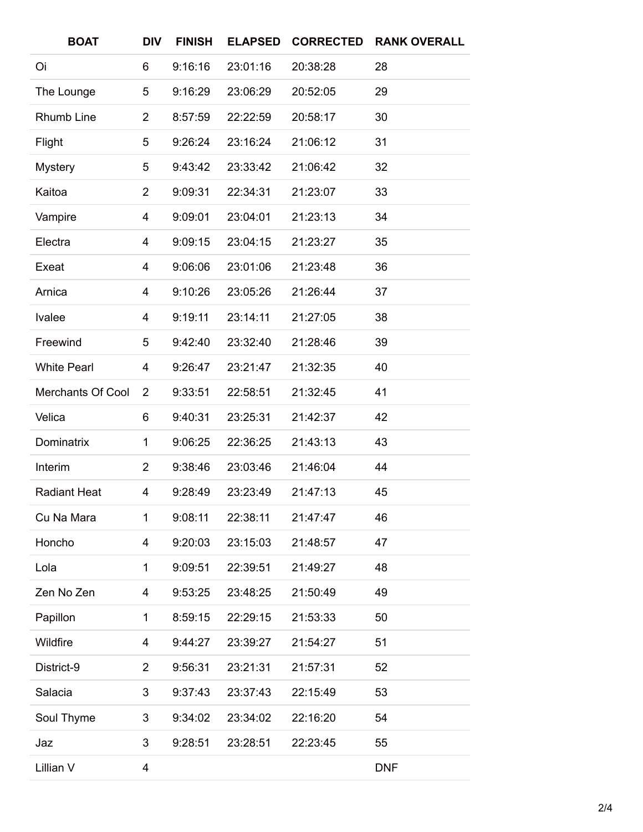| <b>BOAT</b>              | <b>DIV</b>     | <b>FINISH</b> | <b>ELAPSED</b> | <b>CORRECTED</b> | <b>RANK OVERALL</b> |
|--------------------------|----------------|---------------|----------------|------------------|---------------------|
| Oi                       | 6              | 9:16:16       | 23:01:16       | 20:38:28         | 28                  |
| The Lounge               | 5              | 9:16:29       | 23:06:29       | 20:52:05         | 29                  |
| <b>Rhumb Line</b>        | $\overline{2}$ | 8:57:59       | 22:22:59       | 20:58:17         | 30                  |
| Flight                   | 5              | 9:26:24       | 23:16:24       | 21:06:12         | 31                  |
| <b>Mystery</b>           | 5              | 9:43:42       | 23:33:42       | 21:06:42         | 32                  |
| Kaitoa                   | $\overline{2}$ | 9:09:31       | 22:34:31       | 21:23:07         | 33                  |
| Vampire                  | 4              | 9:09:01       | 23:04:01       | 21:23:13         | 34                  |
| Electra                  | 4              | 9:09:15       | 23:04:15       | 21:23:27         | 35                  |
| Exeat                    | 4              | 9:06:06       | 23:01:06       | 21:23:48         | 36                  |
| Arnica                   | 4              | 9:10:26       | 23:05:26       | 21:26:44         | 37                  |
| Ivalee                   | 4              | 9:19:11       | 23:14:11       | 21:27:05         | 38                  |
| Freewind                 | 5              | 9:42:40       | 23:32:40       | 21:28:46         | 39                  |
| <b>White Pearl</b>       | 4              | 9:26:47       | 23:21:47       | 21:32:35         | 40                  |
| <b>Merchants Of Cool</b> | 2              | 9:33:51       | 22:58:51       | 21:32:45         | 41                  |
| Velica                   | 6              | 9:40:31       | 23:25:31       | 21:42:37         | 42                  |
| Dominatrix               | 1              | 9:06:25       | 22:36:25       | 21:43:13         | 43                  |
| Interim                  | $\overline{2}$ | 9:38:46       | 23:03:46       | 21:46:04         | 44                  |
| <b>Radiant Heat</b>      | 4              | 9:28:49       | 23:23:49       | 21:47:13         | 45                  |
| Cu Na Mara               | 1              | 9:08:11       | 22:38:11       | 21:47:47         | 46                  |
| Honcho                   | 4              | 9:20:03       | 23:15:03       | 21:48:57         | 47                  |
| Lola                     | 1              | 9:09:51       | 22:39:51       | 21:49:27         | 48                  |
| Zen No Zen               | 4              | 9:53:25       | 23:48:25       | 21:50:49         | 49                  |
| Papillon                 | 1              | 8:59:15       | 22:29:15       | 21:53:33         | 50                  |
| Wildfire                 | 4              | 9:44:27       | 23:39:27       | 21:54:27         | 51                  |
| District-9               | $\overline{2}$ | 9:56:31       | 23:21:31       | 21:57:31         | 52                  |
| Salacia                  | 3              | 9:37:43       | 23:37:43       | 22:15:49         | 53                  |
| Soul Thyme               | 3              | 9:34:02       | 23:34:02       | 22:16:20         | 54                  |
| Jaz                      | 3              | 9:28:51       | 23:28:51       | 22:23:45         | 55                  |
| Lillian V                | 4              |               |                |                  | <b>DNF</b>          |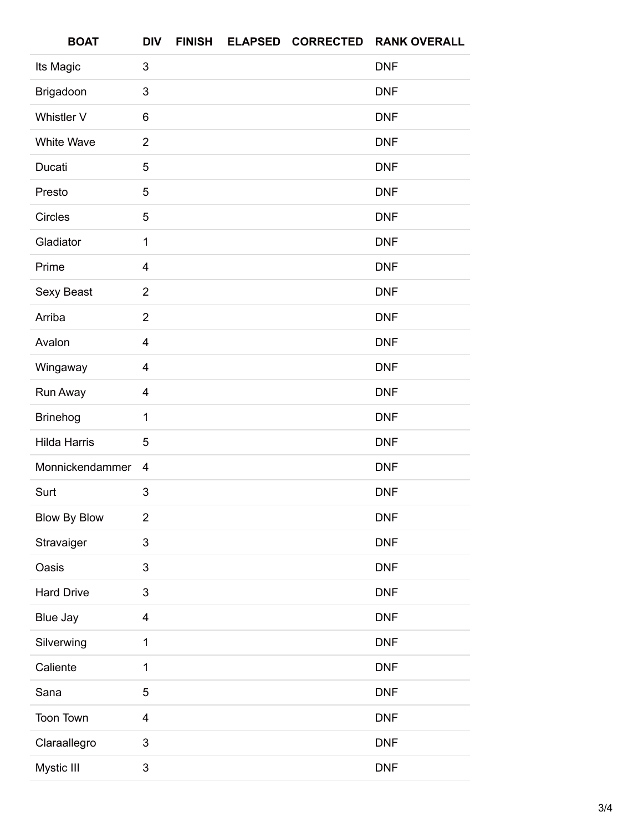| <b>BOAT</b>         | <b>DIV</b>               | <b>FINISH</b> | <b>ELAPSED</b> | <b>CORRECTED</b> | <b>RANK OVERALL</b> |
|---------------------|--------------------------|---------------|----------------|------------------|---------------------|
| Its Magic           | $\mathbf{3}$             |               |                |                  | <b>DNF</b>          |
| Brigadoon           | 3                        |               |                |                  | <b>DNF</b>          |
| Whistler V          | 6                        |               |                |                  | <b>DNF</b>          |
| <b>White Wave</b>   | $\overline{2}$           |               |                |                  | <b>DNF</b>          |
| Ducati              | 5                        |               |                |                  | <b>DNF</b>          |
| Presto              | 5                        |               |                |                  | <b>DNF</b>          |
| <b>Circles</b>      | 5                        |               |                |                  | <b>DNF</b>          |
| Gladiator           | $\mathbf 1$              |               |                |                  | <b>DNF</b>          |
| Prime               | $\overline{\mathcal{A}}$ |               |                |                  | <b>DNF</b>          |
| Sexy Beast          | $\overline{2}$           |               |                |                  | <b>DNF</b>          |
| Arriba              | $\overline{2}$           |               |                |                  | <b>DNF</b>          |
| Avalon              | 4                        |               |                |                  | <b>DNF</b>          |
| Wingaway            | 4                        |               |                |                  | <b>DNF</b>          |
| Run Away            | $\overline{\mathcal{A}}$ |               |                |                  | <b>DNF</b>          |
| <b>Brinehog</b>     | $\mathbf{1}$             |               |                |                  | <b>DNF</b>          |
| <b>Hilda Harris</b> | 5                        |               |                |                  | <b>DNF</b>          |
| Monnickendammer     | 4                        |               |                |                  | <b>DNF</b>          |
| Surt                | 3                        |               |                |                  | <b>DNF</b>          |
| <b>Blow By Blow</b> | $\overline{2}$           |               |                |                  | <b>DNF</b>          |
| Stravaiger          | 3                        |               |                |                  | <b>DNF</b>          |
| Oasis               | 3                        |               |                |                  | <b>DNF</b>          |
| <b>Hard Drive</b>   | 3                        |               |                |                  | <b>DNF</b>          |
| <b>Blue Jay</b>     | $\overline{\mathcal{A}}$ |               |                |                  | <b>DNF</b>          |
| Silverwing          | $\mathbf 1$              |               |                |                  | <b>DNF</b>          |
| Caliente            | $\mathbf 1$              |               |                |                  | <b>DNF</b>          |
| Sana                | 5                        |               |                |                  | <b>DNF</b>          |
| Toon Town           | $\overline{\mathcal{A}}$ |               |                |                  | <b>DNF</b>          |
| Claraallegro        | 3                        |               |                |                  | <b>DNF</b>          |
| Mystic III          | 3                        |               |                |                  | <b>DNF</b>          |